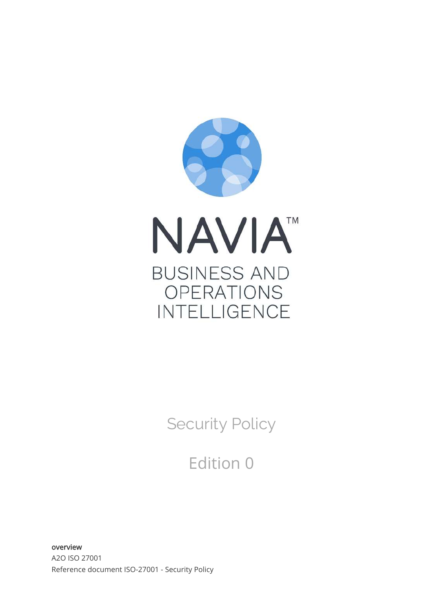

Security Policy

Edition 0

overview A2O ISO 27001 Reference document ISO-27001 - Security Policy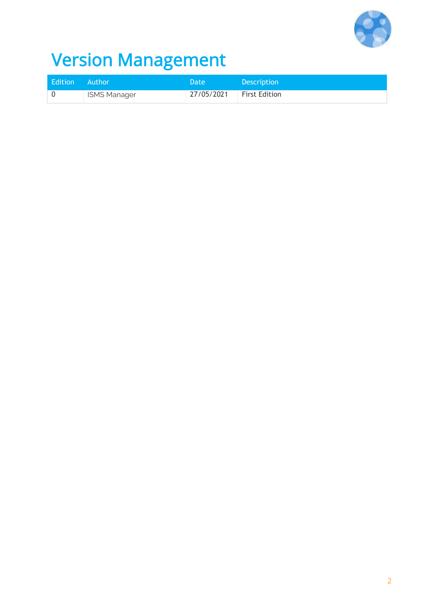

# Version Management

| Edition Author |                     | Date       | <b>Description</b> |
|----------------|---------------------|------------|--------------------|
|                | <b>ISMS Manager</b> | 27/05/2021 | First Edition      |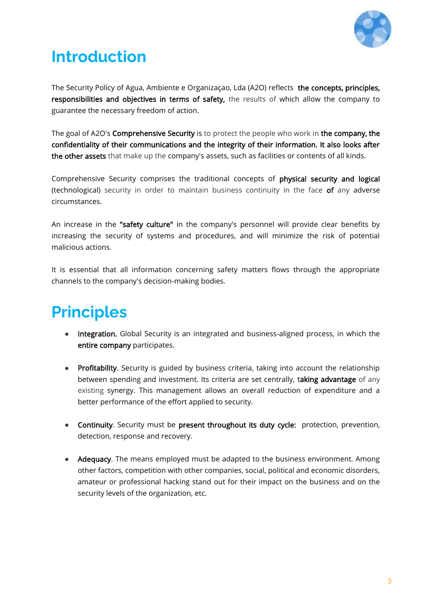

#### **Introduction**

The Security Policy of Agua, Ambiente e Organizaçao, Lda (A2O) reflects the concepts, principles, responsibilities and objectives in terms of safety, the results of which allow the company to guarantee the necessary freedom of action.

The goal of A2O's Comprehensive Security is to protect the people who work in the company, the confidentiality of their communications and the integrity of their information. It also looks after the other assets that make up the company's assets, such as facilities or contents of all kinds.

Comprehensive Security comprises the traditional concepts of physical security and logical (technological) security in order to maintain business continuity in the face of any adverse circumstances.

An increase in the "safety culture" in the company's personnel will provide clear benefits by increasing the security of systems and procedures, and will minimize the risk of potential malicious actions.

It is essential that all information concerning safety matters flows through the appropriate channels to the company's decision-making bodies.

### **Principles**

- Integration. Global Security is an integrated and business-aligned process, in which the entire company participates.
- Profitability. Security is guided by business criteria, taking into account the relationship between spending and investment. Its criteria are set centrally, taking advantage of any existing synergy. This management allows an overall reduction of expenditure and a better performance of the effort applied to security.
- Continuity. Security must be present throughout its duty cycle: protection, prevention, detection, response and recovery.
- Adequacy. The means employed must be adapted to the business environment. Among other factors, competition with other companies, social, political and economic disorders, amateur or professional hacking stand out for their impact on the business and on the security levels of the organization, etc.